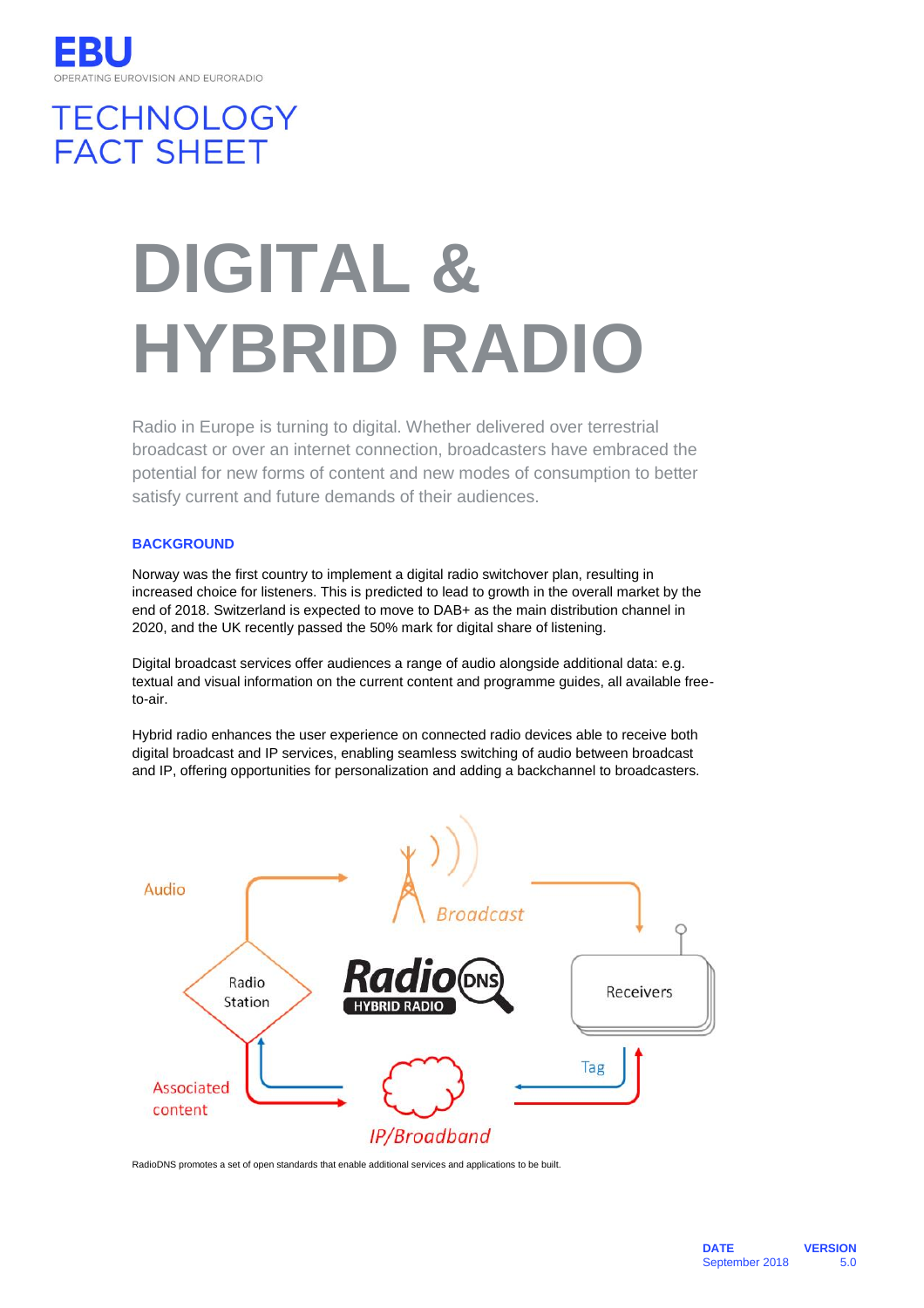# **TECHNOLOGY FACT SHEET**

# **DIGITAL & HYBRID RADIO**

Radio in Europe is turning to digital. Whether delivered over terrestrial broadcast or over an internet connection, broadcasters have embraced the potential for new forms of content and new modes of consumption to better satisfy current and future demands of their audiences.

# **BACKGROUND**

Norway was the first country to implement a digital radio switchover plan, resulting in increased choice for listeners. This is predicted to lead to growth in the overall market by the end of 2018. Switzerland is expected to move to DAB+ as the main distribution channel in 2020, and the UK recently passed the 50% mark for digital share of listening.

Digital broadcast services offer audiences a range of audio alongside additional data: e.g. textual and visual information on the current content and programme guides, all available freeto-air.

Hybrid radio enhances the user experience on connected radio devices able to receive both digital broadcast and IP services, enabling seamless switching of audio between broadcast and IP, offering opportunities for personalization and adding a backchannel to broadcasters.



RadioDNS promotes a set of open standards that enable additional services and applications to be built.